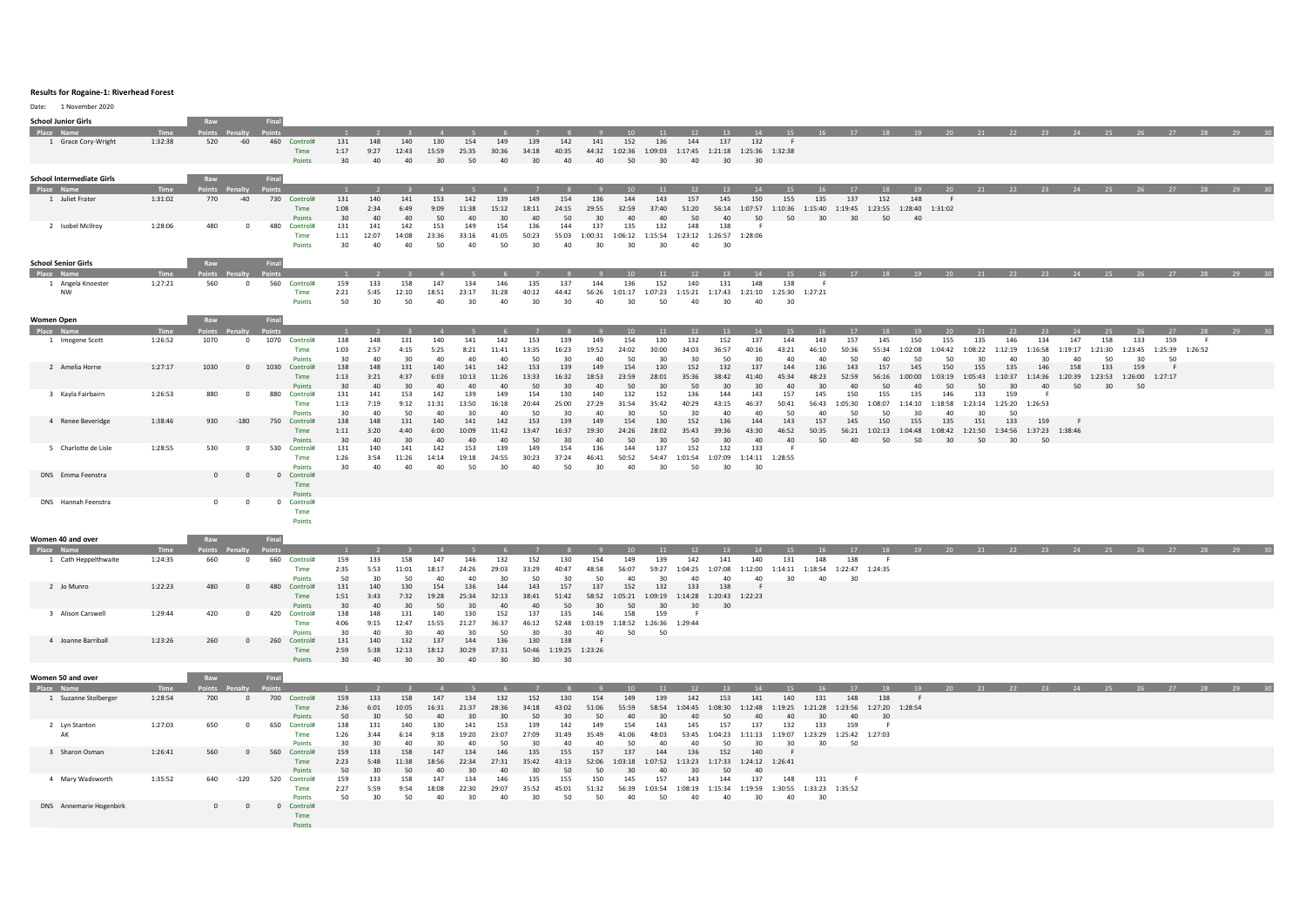## **Results for Rogaine-1: Riverhead Forest**

Date: 1 November 2020

| <b>School Junior Girls</b>        |                        | Raw                    |                | Final                         |                 |                |                         |                         |              |                          |                |                       |                 |                |                        |                                 |                 |                                                   |              |                                                       |               |                                                                     |                |                |                |                       |                               |         |         |                                                        |       |           |    |
|-----------------------------------|------------------------|------------------------|----------------|-------------------------------|-----------------|----------------|-------------------------|-------------------------|--------------|--------------------------|----------------|-----------------------|-----------------|----------------|------------------------|---------------------------------|-----------------|---------------------------------------------------|--------------|-------------------------------------------------------|---------------|---------------------------------------------------------------------|----------------|----------------|----------------|-----------------------|-------------------------------|---------|---------|--------------------------------------------------------|-------|-----------|----|
| Place Name<br>1 Grace Cory-Wright | <b>Time</b><br>1:32:38 | Points Penalty<br>520  | $-60$          | <b>Points</b><br>460 Control# | 131             | 148            | 140                     | 130                     | 154          | 149                      | 139            | 142                   | 141             | 152            | 136                    | 12<br>144                       | 13<br>137       | 14<br>132                                         | 15<br>- F    |                                                       |               |                                                                     |                |                |                |                       |                               |         |         | 16 17 18 19 20 21 22 23 24 25 26 27 28 29 30           |       |           |    |
|                                   |                        |                        |                | Time                          | 1:17            | 9:27           | 12:43                   | 15:59                   | 25:35        | 30:36                    | 34:18          | 40:35                 | 44:32           | 1:02:36        |                        |                                 |                 | 1:09:03 1:17:45 1:21:18 1:25:36 1:32:38           |              |                                                       |               |                                                                     |                |                |                |                       |                               |         |         |                                                        |       |           |    |
|                                   |                        |                        |                | Points                        | 30              | 40             | 40                      | 30                      | 50           | 40                       | 30             | 40                    | 40              | 50             | 30                     | 40                              | 30              | 30                                                |              |                                                       |               |                                                                     |                |                |                |                       |                               |         |         |                                                        |       |           |    |
| <b>School Intermediate Girls</b>  |                        | Raw                    |                | Final                         |                 |                |                         |                         |              |                          |                |                       |                 |                |                        |                                 |                 |                                                   |              |                                                       |               |                                                                     |                |                |                |                       |                               |         |         |                                                        |       |           |    |
| Place Name                        | Time                   | Points Penalty         |                |                               | $\mathbf{1}$    | $\overline{2}$ | $\overline{\mathbf{3}}$ | $\overline{4}$          | $-5$         | 6 <sup>1</sup>           | $\overline{7}$ | 8 <sup>1</sup>        | - 9 -           | 10             | 11                     | 12                              | 13              | 14                                                | 15           | 16                                                    | 17            |                                                                     |                |                |                |                       |                               |         |         | 18 19 20 21 22 23 24 25 26 27 28 29 30                 |       |           |    |
| 1 Juliet Frater                   | 1:31:02                | 770                    | $-40$          | 730 Control#                  | 131             | 140            | 141                     | 153                     | 142          | 139                      | 149            | 154                   | 136             | 144            | 143                    | 157                             | 145             | 150                                               | 155          | 135                                                   | 137           | 152                                                                 | 148            | - F            |                |                       |                               |         |         |                                                        |       |           |    |
|                                   |                        |                        |                | Time<br>Points                | 1:08<br>30      | 2:34<br>40     | 6:49<br>40              | 9:09<br>50              | 11:38<br>40  | 15:12<br>30              | 18:11<br>40    | 24:15<br>50           | 29:55<br>30     | 32:59<br>40    | 37:40<br>40            | 51:20<br>50                     | 40              | 50                                                | 50           | 30                                                    | 30            | 56:14 1:07:57 1:10:36 1:15:40 1:19:45 1:23:55 1:28:40 1:31:02<br>50 | 40             |                |                |                       |                               |         |         |                                                        |       |           |    |
| 2 Isobel McIlroy                  | 1:28:06                | 480                    | $\overline{0}$ | 480 Control#                  | 131             | 141            | 142                     | 153                     | 149          | 154                      | 136            | 144                   | 137             | 135            | 132                    | 148                             | 138             | - F                                               |              |                                                       |               |                                                                     |                |                |                |                       |                               |         |         |                                                        |       |           |    |
|                                   |                        |                        |                | Time                          | 1:11            | 12:07          | 14:08                   | 23:36                   | 33:16        | 41:05                    | 50:23          | 55:03                 | 1:00:31         | 1:06:12        | 1:15:54                | 1:23:12                         | 1:26:57 1:28:06 |                                                   |              |                                                       |               |                                                                     |                |                |                |                       |                               |         |         |                                                        |       |           |    |
|                                   |                        |                        |                | Points                        | 30 <sup>2</sup> | 40             | 40                      | 50                      | 40           | 50                       | 30             | 40                    | 30              | 30             | 30                     | 40                              | 30              |                                                   |              |                                                       |               |                                                                     |                |                |                |                       |                               |         |         |                                                        |       |           |    |
| <b>School Senior Girls</b>        |                        | Raw                    |                | Final                         |                 |                |                         |                         |              |                          |                |                       |                 |                |                        |                                 |                 |                                                   |              |                                                       |               |                                                                     |                |                |                |                       |                               |         |         |                                                        |       |           |    |
| Place Name                        | Time                   | Points Penalty         |                |                               | $\mathbf{1}$    |                |                         |                         |              |                          |                |                       |                 | 10             | 11                     | 12                              | 13              | 14                                                | 15           | 16                                                    |               |                                                                     |                |                |                |                       |                               |         |         | 17 18 19 20 21 22 23 24 25 26 27 28 29 30              |       |           |    |
| 1 Angela Knoester                 | 1:27:21                | 560                    | $\overline{0}$ | 560 Control#                  | 159             | 133            | 158                     | 147                     | 134          | 146                      | 135            | 137                   | 144             | 136            | 152                    | 140                             | 131             | 148                                               | 138          | - F                                                   |               |                                                                     |                |                |                |                       |                               |         |         |                                                        |       |           |    |
| <b>NW</b>                         |                        |                        |                | Time<br>Points                | 2:21<br>50      | 5:45<br>30     | 12:10<br>50             | 18:51<br>40             | 23:17<br>30  | 31:28<br>40              | 40:12<br>30    | 44:42<br>30           | 56:26<br>40     | 1:01:17<br>30  | 1:07:23<br>50          | 40                              | 30              | 1:15:21  1:17:43  1:21:10  1:25:30  1:27:21<br>40 | 30           |                                                       |               |                                                                     |                |                |                |                       |                               |         |         |                                                        |       |           |    |
|                                   |                        |                        |                |                               |                 |                |                         |                         |              |                          |                |                       |                 |                |                        |                                 |                 |                                                   |              |                                                       |               |                                                                     |                |                |                |                       |                               |         |         |                                                        |       |           |    |
| <b>Women Open</b>                 |                        | Raw                    |                | Final                         |                 |                |                         |                         |              |                          |                |                       |                 |                |                        |                                 |                 |                                                   |              |                                                       |               |                                                                     |                |                |                |                       |                               |         |         |                                                        |       |           |    |
| Place Name<br>1 Imogene Scott     | <b>Time</b><br>1:26:52 | Points Penalty<br>1070 | $\mathbf{0}$   | 1070 Control#                 | 138             | 148            | 131                     | 140                     | 141          | 142                      | 153            | 139                   | 149             | 154            | 11<br>130              | 12<br>132                       | 13<br>152       | 14<br>137                                         | 144          | 143                                                   | 157           | 18<br>145                                                           | 150            | 155            | 135            | 146                   | 134                           | 147     | 158     | 133                                                    | 159   | 28<br>- 6 |    |
|                                   |                        |                        |                | Time                          | 1:03            | 2:57           | 4:15                    | 5:25                    | 8:21         | 11:41                    | 13:35          | 16:23                 | 19:52           | 24:02          | 30:00                  | 34:03                           | 36:57           | 40:16                                             | 43:21        | 46:10                                                 | 50:36         | 55:34                                                               | 1:02:08        | 1:04:42        | 1:08:22        | 1:12:19               | 1:16:58                       | 1:19:17 | 1:21:30 | 1:23:45 1:25:39 1:26:52                                |       |           |    |
|                                   |                        |                        |                | Points                        | 30              | 40             | 30                      | 40                      | 40           | 40                       | 50             | 30                    | 40              | 50             | 30                     | 30                              | 50              | 30                                                | 40           | 40                                                    | 50            | 40                                                                  | 50             | 50             | 30             | 40                    | 30                            | 40      | 50      | 30                                                     | 50    |           |    |
| 2 Amelia Horne                    | 1:27:17                | 1030                   | $\circ$        | 1030 Control#<br>Time         | 138<br>1:13     | 148<br>3:21    | 131<br>4:37             | 140<br>6:03             | 141<br>10:13 | 142<br>11:26             | 153<br>13:33   | 139<br>16:32          | 149<br>18:53    | 154<br>23:59   | 130<br>28:01           | 152<br>35:36                    | 132<br>38:42    | 137<br>41:40                                      | 144<br>45:34 | 136<br>48:23                                          | 143<br>52:59  | 157<br>56:16                                                        | 145<br>1:00:00 | 150<br>1:03:19 | 155<br>1:05:43 | 135                   | 146                           | 158     | 133     | 159<br>1:10:37 1:14:36 1:20:39 1:23:53 1:26:00 1:27:17 | F.    |           |    |
|                                   |                        |                        |                | Points                        | 30              | 40             | 30                      | 40                      | 40           | 40                       | 50             | 30                    | 40 <sup>2</sup> | 50             | 30                     | 50                              | 30              | 30                                                | 40           | 30                                                    | 40            | 50                                                                  | 40             | 50             | 50             | 30                    | 40                            | 50      | 30      | 50                                                     |       |           |    |
| 3 Kayla Fairbairn                 | 1:26:53                | 880                    | $\overline{0}$ | 880<br>Control#               | 131             | 141            | 153                     | 142                     | 139          | 149                      | 154            | 130                   | 140             | 132            | 152                    | 136                             | 144             | 143                                               | 157          | 145                                                   | 150           | 155                                                                 | 135            | 146            | 133            | 159                   | - F                           |         |         |                                                        |       |           |    |
|                                   |                        |                        |                | Time<br>Points                | 1:13<br>30      | 7:19<br>40     | 9:12<br>50              | 11:31<br>40             | 13:50<br>30  | 16:18<br>40              | 20:44<br>50    | 25:00<br>30           | 27:29<br>40     | 31:54<br>30    | 35:42<br>50            | 40:29<br>30                     | 43:15<br>40     | 46:37<br>40                                       | 50:41<br>50  | 56:43<br>40                                           | 1:05:30<br>50 | 1:08:07<br>50                                                       | 1:14:10<br>30  | 1:18:58<br>40  | 1:23:14<br>30  | 1:25:20 1:26:53<br>50 |                               |         |         |                                                        |       |           |    |
| 4 Renee Beveridge                 | 1:38:46                | 930                    | $-180$         | 750<br>Control#               | 138             | 148            | 131                     | 140                     | 141          | 142                      | 153            | 139                   | 149             | 154            | 130                    | 152                             | 136             | 144                                               | 143          | 157                                                   | 145           | 150                                                                 | 155            | 135            | 151            | 133                   | 159                           |         |         |                                                        |       |           |    |
|                                   |                        |                        |                | Time                          | 1:11            | 3:20<br>40     | 4:40<br>30              | 6:00<br>40 <sup>2</sup> | 10:09<br>40  | 11:42<br>40 <sup>2</sup> | 13:47<br>50    | 16:37<br>30           | 19:30<br>40     | 24:26<br>50    | 28:02<br>30            | 35:43<br>50                     | 39:36<br>30     | 43:30<br>40                                       | 46:52<br>40  | 50:35                                                 | 56:21         | 1:02:13 1:04:48 1:08:42 1:21:50                                     |                |                |                |                       | 1:34:56 1:37:23 1:38:46<br>50 |         |         |                                                        |       |           |    |
| 5 Charlotte de Lisle              | 1:28:55                | 530                    | $\circ$        | Points<br>530<br>Control#     | 30<br>131       | 140            | 141                     | 142                     | 153          | 139                      | 149            | 154                   | 136             | 144            | 137                    | 152                             | 132             | 133                                               |              | 50                                                    | 40            | 50                                                                  | 50             | 30             | 50             | 30                    |                               |         |         |                                                        |       |           |    |
|                                   |                        |                        |                | Time                          | 1:26            | 3:54           | 11:26                   | 14:14                   | 19:18        | 24:55                    | 30:23          | 37:24                 | 46:41           | 50:52          |                        |                                 |                 | 54:47 1:01:54 1:07:09 1:14:11 1:28:55             |              |                                                       |               |                                                                     |                |                |                |                       |                               |         |         |                                                        |       |           |    |
| DNS Emma Feenstra                 |                        | $\circ$                | $\Omega$       | <b>Points</b><br>0 Control#   | 30              | 40             | 40                      | 40                      | 50           | 30                       | 40             | 50                    | 30              | 40             | 30                     | 50                              | 30              | 30                                                |              |                                                       |               |                                                                     |                |                |                |                       |                               |         |         |                                                        |       |           |    |
|                                   |                        |                        |                | Time                          |                 |                |                         |                         |              |                          |                |                       |                 |                |                        |                                 |                 |                                                   |              |                                                       |               |                                                                     |                |                |                |                       |                               |         |         |                                                        |       |           |    |
|                                   |                        |                        |                | Points                        |                 |                |                         |                         |              |                          |                |                       |                 |                |                        |                                 |                 |                                                   |              |                                                       |               |                                                                     |                |                |                |                       |                               |         |         |                                                        |       |           |    |
| DNS Hannah Feenstra               |                        | $\mathbf 0$            | $\overline{0}$ | 0 Control#<br>Time            |                 |                |                         |                         |              |                          |                |                       |                 |                |                        |                                 |                 |                                                   |              |                                                       |               |                                                                     |                |                |                |                       |                               |         |         |                                                        |       |           |    |
|                                   |                        |                        |                | Points                        |                 |                |                         |                         |              |                          |                |                       |                 |                |                        |                                 |                 |                                                   |              |                                                       |               |                                                                     |                |                |                |                       |                               |         |         |                                                        |       |           |    |
|                                   |                        |                        |                |                               |                 |                |                         |                         |              |                          |                |                       |                 |                |                        |                                 |                 |                                                   |              |                                                       |               |                                                                     |                |                |                |                       |                               |         |         |                                                        |       |           |    |
| Women 40 and over<br>Place Name   | Time                   | Raw<br>Points Penalty  |                | Final                         |                 |                |                         |                         |              |                          |                |                       |                 |                | 11                     | 12                              | 13              | 14                                                | 15           | 16                                                    | 17            |                                                                     |                |                |                |                       |                               |         |         | 18 19 20 21 22 23 24 25 26 27 28 29 30                 |       |           |    |
| 1 Cath Heppelthwaite              | 1:24:35                | 660                    | $\overline{0}$ | 660 Control#                  | 159             | 133            | 158                     | 147                     | 146          | 132                      | 152            | 130                   | 154             | 149            | 139                    | 142                             | 141             | 140                                               | 131          | 148                                                   | 138           | - F                                                                 |                |                |                |                       |                               |         |         |                                                        |       |           |    |
|                                   |                        |                        |                | Time                          | 2:35            | 5:53           | 11:01                   | 18:17                   | 24:26        | 29:03                    | 33:29          | 40:47                 | 48:58           | 56:07          | 59:27                  | 1:04:25                         |                 |                                                   |              | 1:07:08 1:12:00 1:14:11 1:18:54 1:22:47 1:24:35       |               |                                                                     |                |                |                |                       |                               |         |         |                                                        |       |           |    |
| 2 Jo Munro                        | 1:22:23                | 480                    | $\overline{0}$ | Points<br>480 Control#        | 50<br>131       | 30<br>140      | 50<br>130               | 40<br>154               | 40<br>136    | 30<br>144                | 50<br>143      | 30<br>157             | 50<br>137       | 40<br>152      | 30<br>132              | 40<br>133                       | 40<br>138       | 40                                                | 30           | 40                                                    | 30            |                                                                     |                |                |                |                       |                               |         |         |                                                        |       |           |    |
|                                   |                        |                        |                | Time                          | 1:51            | 3:43           | 7:32                    | 19:28                   | 25:34        | 32:13                    | 38:41          | 51:42                 | 58:52           | 1:05:21        |                        | 1:09:19 1:14:28 1:20:43 1:22:23 |                 |                                                   |              |                                                       |               |                                                                     |                |                |                |                       |                               |         |         |                                                        |       |           |    |
|                                   | 1:29:44                | 420                    |                | Points<br>420                 | 30              | 40             | 30                      | 50                      | 30           | 40                       | 40             | 50                    | 30              | 50             | 30                     | 30                              | 30              |                                                   |              |                                                       |               |                                                                     |                |                |                |                       |                               |         |         |                                                        |       |           |    |
| 3 Alison Carswell                 |                        |                        | $\Omega$       | Control#<br>Time              | 138<br>4:06     | 148<br>9:15    | 131<br>12:47            | 140<br>15:55            | 130<br>21:27 | 152<br>36:37             | 137<br>46:12   | 135<br>52:48          | 146<br>1:03:19  | 158<br>1:18:52 | 159<br>1:26:36 1:29:44 | - 6                             |                 |                                                   |              |                                                       |               |                                                                     |                |                |                |                       |                               |         |         |                                                        |       |           |    |
|                                   |                        |                        |                | <b>Points</b>                 | 30              | 40             | 30                      | 40                      | 30           | 50                       | 30             | 30                    | 40              | 50             | 50                     |                                 |                 |                                                   |              |                                                       |               |                                                                     |                |                |                |                       |                               |         |         |                                                        |       |           |    |
| 4 Joanne Barriball                | 1:23:26                | 260                    | $\Omega$       | 260<br>Control#               | 131             | 140<br>5:38    | 132                     | 137                     | 144<br>30:29 | 136<br>37:31             | 130            | 138                   | F.              |                |                        |                                 |                 |                                                   |              |                                                       |               |                                                                     |                |                |                |                       |                               |         |         |                                                        |       |           |    |
|                                   |                        |                        |                | Time<br>Points                | 2:59<br>30      | 40             | 12:13<br>30             | 18:12<br>30             | 40           | 30                       | 50:46<br>30    | 1:19:25 1:23:26<br>30 |                 |                |                        |                                 |                 |                                                   |              |                                                       |               |                                                                     |                |                |                |                       |                               |         |         |                                                        |       |           |    |
|                                   |                        |                        |                |                               |                 |                |                         |                         |              |                          |                |                       |                 |                |                        |                                 |                 |                                                   |              |                                                       |               |                                                                     |                |                |                |                       |                               |         |         |                                                        |       |           |    |
| Women 50 and over<br>Place Name   | Time                   | Raw<br>Points          |                | Final<br><b>Points</b>        |                 |                |                         |                         |              |                          |                |                       |                 |                | 11                     | 12                              | 13              |                                                   |              |                                                       |               |                                                                     | 19             | 20             | 21             | 22                    | 23                            | 24      | 25      | 26                                                     | 27 28 |           | 29 |
| 1 Suzanne Stolberger              | 1:28:54                | 700                    | $^{\circ}$     | 700 Control#                  | 159             | 133            | 158                     | 147                     | 134          | 132                      | 152            | 130                   | 154             | 149            | 139                    | 142                             | 153             | 141                                               | 140          | 131                                                   | 148           | 138                                                                 |                |                |                |                       |                               |         |         |                                                        |       |           |    |
|                                   |                        |                        |                | Time                          | 2:36            | 6:01           | 10:05                   | 16:31                   | 21:37        | 28:36                    | 34:18          | 43:02                 | 51:06           | 55:59          | 58:54                  | 1:04:45                         | 1:08:30         | 1:12:48                                           | 1:19:25      | 1:21:28                                               | 1:23:56       | 1:27:20                                                             | 1:28:54        |                |                |                       |                               |         |         |                                                        |       |           |    |
| 2 Lyn Stanton                     | 1:27:03                | 650                    | $\mathbf 0$    | Points<br>650<br>Control#     | 50<br>138       | 30<br>131      | 50<br>140               | 40<br>130               | 30<br>141    | 30<br>153                | 50<br>139      | 30<br>142             | 50<br>149       | 40<br>154      | 30<br>143              | 40<br>145                       | 50<br>157       | 40 <sup>2</sup><br>137                            | 40<br>132    | 30<br>133                                             | 40<br>159     | 30                                                                  |                |                |                |                       |                               |         |         |                                                        |       |           |    |
| AK                                |                        |                        |                | Time                          | 1:26            | 3:44           | 6:14                    | 9:18                    | 19:20        | 23:07                    | 27:09          | 31:49                 | 35:49           | 41:06          | 48:03                  |                                 |                 |                                                   |              | 53:45 1:04:23 1:11:13 1:19:07 1:23:29 1:25:42 1:27:03 |               |                                                                     |                |                |                |                       |                               |         |         |                                                        |       |           |    |
|                                   |                        |                        |                | Points                        | 30              | 30             | 40                      | 30                      | 40           | 50                       | 30             | 40                    | 40              | 50             | 40                     | 40                              | 50              | 30                                                | 30           | 30                                                    | 50            |                                                                     |                |                |                |                       |                               |         |         |                                                        |       |           |    |
| 3 Sharon Osman                    | 1:26:41                | 560                    | $\overline{0}$ | 560<br>Control#<br>Time       | 159<br>2:23     | 133<br>5:48    | 158<br>11:38            | 147<br>18:56            | 134<br>22:34 | 146<br>27:31             | 135<br>35:42   | 155<br>43:13          | 157<br>52:06    | 137<br>1:03:18 | 144<br>1:07:52         | 136                             | 152             | 140<br>1:13:23  1:17:33  1:24:12  1:26:41         | - F          |                                                       |               |                                                                     |                |                |                |                       |                               |         |         |                                                        |       |           |    |
|                                   |                        |                        |                | Points                        | 50              | 30             | 50                      | 40                      | 30           | 40                       | 30             | 50                    | 50              | 30             | 40                     | 30                              | 50              | 40                                                |              |                                                       |               |                                                                     |                |                |                |                       |                               |         |         |                                                        |       |           |    |
| 4 Mary Wadsworth                  | 1:35:52                | 640                    | $-120$         | 520<br>Control#               | 159             | 133            | 158                     | 147                     | 134          | 146                      | 135            | 155                   | 150             | 145            | 157                    | 143                             | 144             | 137                                               | 148          | 131                                                   | - F           |                                                                     |                |                |                |                       |                               |         |         |                                                        |       |           |    |
|                                   |                        |                        |                | Time<br>Points                | 2:27<br>50      | 5:59<br>30     | 9:54<br>50              | 18:08<br>40             | 22:30<br>30  | 29:07<br>40              | 35:52<br>30    | 45:01<br>50           | 51:32<br>50     | 56:39<br>40    | 1:03:54<br>50          | 1:08:19<br>40                   | 1:15:34<br>40   | 1:19:59<br>30                                     | 40           | 1:30:55 1:33:23 1:35:52<br>30                         |               |                                                                     |                |                |                |                       |                               |         |         |                                                        |       |           |    |
| DNS Annemarie Hogenbirk           |                        | $\mathbf{0}$           | $\circ$        | 0 Control#                    |                 |                |                         |                         |              |                          |                |                       |                 |                |                        |                                 |                 |                                                   |              |                                                       |               |                                                                     |                |                |                |                       |                               |         |         |                                                        |       |           |    |
|                                   |                        |                        |                | Time<br>Points                |                 |                |                         |                         |              |                          |                |                       |                 |                |                        |                                 |                 |                                                   |              |                                                       |               |                                                                     |                |                |                |                       |                               |         |         |                                                        |       |           |    |
|                                   |                        |                        |                |                               |                 |                |                         |                         |              |                          |                |                       |                 |                |                        |                                 |                 |                                                   |              |                                                       |               |                                                                     |                |                |                |                       |                               |         |         |                                                        |       |           |    |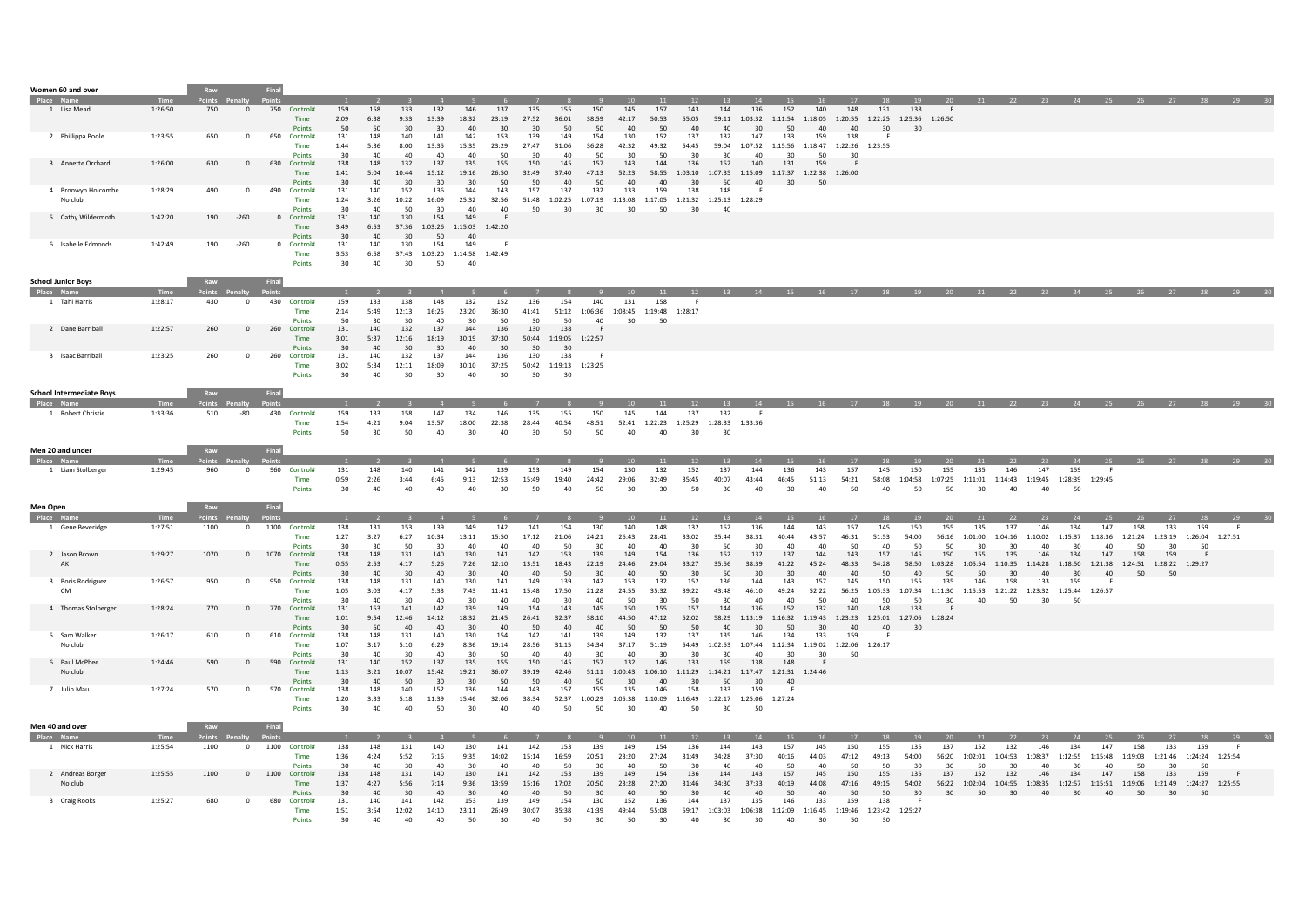| Women 60 and over               |                 | Raw                  |                         | Final        |                                |                   |                   |                    |                                    |                      |                    |                    |                                    |                      |                      |                              |                                              |                                    |                                                              |                      |                                      |                      |                      |                                              |                            |                       |                      |                      |                                 |               |               |                                                                   |                                                                              |         |
|---------------------------------|-----------------|----------------------|-------------------------|--------------|--------------------------------|-------------------|-------------------|--------------------|------------------------------------|----------------------|--------------------|--------------------|------------------------------------|----------------------|----------------------|------------------------------|----------------------------------------------|------------------------------------|--------------------------------------------------------------|----------------------|--------------------------------------|----------------------|----------------------|----------------------------------------------|----------------------------|-----------------------|----------------------|----------------------|---------------------------------|---------------|---------------|-------------------------------------------------------------------|------------------------------------------------------------------------------|---------|
| Place Na                        |                 | oints'               |                         |              |                                |                   |                   |                    |                                    |                      |                    |                    |                                    |                      |                      |                              |                                              |                                    |                                                              |                      |                                      |                      |                      |                                              |                            |                       |                      |                      |                                 |               |               |                                                                   | - 28 -                                                                       |         |
| 1 Lisa Mead                     | 1:26:50         | 750                  | $\overline{0}$          |              | 750 Control#<br>Time<br>Points | 159<br>2:09<br>50 | 158<br>6:38<br>50 | 133<br>9:33<br>30  | 132<br>13:39<br>30                 | 146<br>18:32<br>40   | 137<br>23:19<br>30 | 135<br>27:52<br>30 | 155<br>36:01<br>50                 | 150<br>38:59<br>50   | 145<br>42:17<br>40   | 157<br>50:53<br>50           | 143<br>55:05<br>40                           | 144<br>40                          | 136<br>59:11 1:03:32<br>30                                   | 152<br>1:11:54<br>50 | 140<br>1:18:05<br>40                 | 148<br>40            | 131<br>30            | 138<br>1:20:55 1:22:25 1:25:36 1:26:50<br>30 | F.                         |                       |                      |                      |                                 |               |               |                                                                   |                                                                              |         |
| 2 Phillippa Poole               | 1:23:55         | 650                  | $\overline{0}$          | 650          | Control#<br>Time<br>Points     | 131<br>1:44<br>30 | 148<br>5:36<br>40 | 140<br>8:00<br>40  | 141<br>13:35<br>40                 | 142<br>15:35<br>40   | 153<br>23:29<br>50 | 139<br>27:47<br>30 | 149<br>31:06<br>40                 | 154<br>36:28<br>50   | 130<br>42:32<br>30   | 152<br>49:32<br>50           | 137<br>54:45<br>30                           | 132<br>30                          | 147<br>59:04 1:07:52 1:15:56<br>40                           | 133<br>30            | 159<br>1:18:47 1:22:26 1:23:55<br>50 | 138<br>30            | F                    |                                              |                            |                       |                      |                      |                                 |               |               |                                                                   |                                                                              |         |
| 3 Annette Orchard               | 1:26:00         | 630                  | $\overline{0}$          | 630          | Control#<br>Time<br>Points     | 138<br>1:41<br>30 | 148<br>5:04<br>40 | 132<br>10:44<br>30 | 137<br>15:12<br>30                 | 135<br>19:16<br>30   | 155<br>26:50<br>50 | 150<br>32:49<br>50 | 145<br>37:40<br>40 <sup>2</sup>    | 157<br>47:13<br>50   | 143<br>52:23<br>40   | 144<br>58:55<br>40           | 136<br>1:03:10<br>30                         | 152<br>1:07:35 1:15:09<br>50       | 140<br>40                                                    | 131<br>30            | 159<br>1:17:37 1:22:38 1:26:00<br>50 | -F                   |                      |                                              |                            |                       |                      |                      |                                 |               |               |                                                                   |                                                                              |         |
| 4 Bronwyn Holcombe<br>No club   | 1:28:29         | 490                  | $\overline{0}$          | 490          | Control#<br>Time<br>Points     | 131<br>1:24<br>30 | 140<br>3:26<br>40 | 152<br>10:22<br>50 | 136<br>16:09<br>30                 | 144<br>25:32<br>40   | 143<br>32:56<br>40 | 157<br>51:48<br>50 | 137<br>1:02:25<br>30               | 132<br>1:07:19<br>30 | 133<br>1:13:08<br>30 | 159<br>1:17:05<br>50         | 138<br>1:21:32 1:25:13 1:28:29<br>30         | 148<br>40                          | -F                                                           |                      |                                      |                      |                      |                                              |                            |                       |                      |                      |                                 |               |               |                                                                   |                                                                              |         |
| 5 Cathy Wildermoth              | 1:42:20         | 190                  | $-260$                  |              | 0 Control#<br>Time<br>Points   | 131<br>3:49<br>30 | 140<br>6:53<br>40 | 130<br>37:36<br>30 | 154<br>1:03:26<br>50               | 149<br>1:15:03<br>40 | 1:42:20            |                    |                                    |                      |                      |                              |                                              |                                    |                                                              |                      |                                      |                      |                      |                                              |                            |                       |                      |                      |                                 |               |               |                                                                   |                                                                              |         |
| 6 Isabelle Edmonds              | 1:42:49         | 190                  | $-260$                  | $\mathbf{0}$ | Control#<br>Time<br>Points     | 131<br>3:53<br>30 | 140<br>6:58<br>40 | 130<br>30          | 154<br>37:43 1:03:20 1:14:58<br>50 | 149<br>40            | 1:42:49            |                    |                                    |                      |                      |                              |                                              |                                    |                                                              |                      |                                      |                      |                      |                                              |                            |                       |                      |                      |                                 |               |               |                                                                   |                                                                              |         |
| <b>School Junior Boys</b>       |                 | Raw                  |                         | Final        |                                |                   |                   |                    |                                    |                      |                    |                    |                                    |                      |                      |                              |                                              |                                    |                                                              |                      |                                      |                      |                      |                                              |                            |                       |                      |                      |                                 |               |               |                                                                   |                                                                              |         |
| Place Name                      |                 |                      |                         |              |                                |                   |                   |                    |                                    |                      |                    |                    |                                    |                      |                      |                              |                                              |                                    |                                                              |                      |                                      |                      |                      |                                              |                            |                       |                      |                      |                                 |               |               |                                                                   |                                                                              |         |
| 1 Tahi Harris                   | 1:28:17         | 430                  | $\overline{0}$          |              | 430 Control#<br>Time<br>Points | 159<br>2:14<br>50 | 133<br>5:49<br>30 | 138<br>12:13<br>30 | 148<br>16:25<br>40                 | 132<br>23:20<br>30   | 152<br>36:30<br>50 | 136<br>41:41<br>30 | 154<br>51:12<br>50                 | 140<br>1:06:36<br>40 | 131<br>1:08:45<br>30 | 158<br>1:19:48 1:28:17<br>50 |                                              |                                    |                                                              |                      |                                      |                      |                      |                                              |                            |                       |                      |                      |                                 |               |               |                                                                   |                                                                              |         |
| 2 Dane Barriball                | 1:22:57         | 260                  | $\Omega$                | 260          | Control#<br>Time<br>Points     | 131<br>3:01<br>30 | 140<br>5:37<br>40 | 132<br>12:16<br>30 | 137<br>18:19<br>30                 | 144<br>30:19<br>40   | 136<br>37:30<br>30 | 130<br>30          | 138<br>50:44 1:19:05 1:22:57<br>30 |                      |                      |                              |                                              |                                    |                                                              |                      |                                      |                      |                      |                                              |                            |                       |                      |                      |                                 |               |               |                                                                   |                                                                              |         |
| 3 Isaac Barriball               | 1:23:25         | 260                  | $\overline{0}$          | 260          | Control#<br>Time<br>Points     | 131<br>3:02<br>30 | 140<br>5:34<br>40 | 132<br>12:11<br>30 | 137<br>18:09<br>30                 | 144<br>30:10<br>40   | 136<br>37:25<br>30 | 130<br>50:42<br>30 | 138<br>1:19:13 1:23:25<br>30       | F                    |                      |                              |                                              |                                    |                                                              |                      |                                      |                      |                      |                                              |                            |                       |                      |                      |                                 |               |               |                                                                   |                                                                              |         |
| <b>School Intermediate Boys</b> |                 | Raw                  |                         | Final        |                                |                   |                   |                    |                                    |                      |                    |                    |                                    |                      |                      |                              |                                              |                                    |                                                              |                      |                                      |                      |                      |                                              |                            |                       |                      |                      |                                 |               |               |                                                                   |                                                                              |         |
| <b>Place Name</b>               | <b>Time</b>     | Points Penalty       |                         |              |                                |                   |                   |                    |                                    |                      |                    |                    |                                    |                      | 10 <sup>1</sup>      | 11                           | 12                                           | 13                                 | 14                                                           |                      |                                      |                      |                      |                                              |                            |                       |                      |                      |                                 |               |               | 15 16 17 18 19 20 21 22 23 24 25 26 27 28                         |                                                                              | 79      |
| 1 Robert Christie               | 1:33:36         | 510                  | $-80$                   |              | 430 Control#<br>Time<br>Points | 159<br>1:54<br>50 | 133<br>4:21<br>30 | 158<br>9:04<br>50  | 147<br>13:57<br>40                 | 134<br>18:00<br>30   | 146<br>22:38<br>40 | 135<br>28:44<br>30 | 155<br>40:54<br>50                 | 150<br>48:51<br>50   | 145<br>52:41<br>40   | 144<br>40                    | 137<br>1:22:23 1:25:29 1:28:33 1:33:36<br>30 | 132<br>30                          | - 6                                                          |                      |                                      |                      |                      |                                              |                            |                       |                      |                      |                                 |               |               |                                                                   |                                                                              |         |
| Men 20 and under                |                 | Raw                  |                         | Final        |                                |                   |                   |                    |                                    |                      |                    |                    |                                    |                      |                      |                              |                                              |                                    |                                                              |                      |                                      |                      |                      |                                              |                            |                       |                      |                      |                                 |               |               |                                                                   |                                                                              |         |
|                                 | Time<br>1:29:45 | <b>Points</b><br>960 | $\overline{\mathbf{0}}$ | 960          | Control#                       | 131               | 148               | 140                | 141                                | 142                  | 139                | 153                | 149                                | 154                  | 10<br>130            | 11<br>132                    | 12<br>152                                    | 13<br>137                          | 14<br>144                                                    | 15<br>136            | 143                                  | 17<br>157            | 18<br>145            | 19<br>150                                    | 20<br>155                  | 21<br>135             | 22<br>146            | $23 -$<br>147        | 24<br>159                       | 25            |               | 26 27                                                             | 28                                                                           |         |
| 1 Liam Stolberger               |                 |                      |                         |              | Time<br>Points                 | 0:59<br>30        | 2:26<br>40        | 3:44<br>40         | 6:45<br>40                         | 9:13<br>40           | 12:53<br>30        | 15:49<br>50        | 19:40<br>40                        | 24:42<br>50          | 29:06<br>30          | 32:49<br>30                  | 35:45<br>50                                  | 40:07<br>30                        | 43:44<br>40                                                  | 46:45<br>30          | 51:13<br>40                          | 54:21<br>50          | 58:08<br>40          | 1:04:58<br>50                                | 1:07:25<br>50              | 1:11:01<br>30         | 1:14:43<br>40        | 40                   | 1:19:45  1:28:39  1:29:45<br>50 |               |               |                                                                   |                                                                              |         |
| Men Open                        |                 | Raw                  |                         | Final        |                                |                   |                   |                    |                                    |                      |                    |                    |                                    |                      |                      |                              |                                              |                                    |                                                              |                      |                                      |                      |                      |                                              |                            |                       |                      |                      |                                 |               |               |                                                                   |                                                                              |         |
| Place Na                        |                 | oints Penalty        |                         |              |                                | 138               |                   | 153                | 139                                | 149                  | 142                |                    | 154                                | 130                  | 140                  | 11<br>148                    | 12                                           | 13<br>152                          | 136                                                          | 144                  | 143                                  | 17<br>157            |                      | 19                                           |                            | 21                    | 22                   | 23<br>146            |                                 | 147           | 158           |                                                                   | 159                                                                          |         |
| 1 Gene Beveridge                | 1:27:51         | 1100                 | $\overline{0}$          | 1100         | Control#<br>Time<br>Points     | 1:27<br>30        | 131<br>3:27<br>30 | 6:27<br>50         | 10:34<br>30                        | 13:11<br>40          | 15:50<br>40        | 141<br>17:12<br>40 | 21:06<br>-50                       | 24:21<br>30          | 26:43<br>40          | 28:41<br>40                  | 132<br>33:02<br>30                           | 35:44<br>50                        | 38:31<br>30                                                  | 40:44<br>40          | 43:57<br>40                          | 46:31<br>-50         | 145<br>51:53<br>40   | 150<br>54:00<br>50                           | 155<br>56:16<br>50         | 135<br>1:01:00<br>-30 | 137<br>1:04:16<br>30 | 1:10:02<br>40        | 134<br>1:15:37<br>-30           | 1:18:36<br>40 | 1:21:24<br>50 | 133<br>1:23:19<br>-30                                             | 1:26:04<br>50                                                                | 1:27:51 |
| 2 Jason Brown<br>AK             | 1:29:27         | 1070                 | $\circ$                 | 1070         | Control#<br>Time<br>Points     | 138<br>0:55<br>30 | 148<br>2:53<br>40 | 131<br>4:17<br>30  | 140<br>5:26<br>40                  | 130<br>7:26<br>30    | 141<br>12:10<br>40 | 142<br>13:51<br>40 | 153<br>18:43<br>50                 | 139<br>22:19<br>30   | 149<br>24:46<br>40   | 154<br>29:04<br>50           | 136<br>33:27<br>30                           | 152<br>35:56<br>50                 | 132<br>38:39<br>30                                           | 137<br>41:22<br>30   | 144<br>45:24<br>40                   | 143<br>48:33<br>40   | 157<br>54:28<br>50   | 145<br>58:50<br>40                           | 150<br>1:03:28<br>50       | 155<br>1:05:54<br>50  | 135<br>1:10:35<br>30 | 146<br>40            | 134<br>30                       | 147<br>40     | 158<br>50     | 159<br>1:14:28  1:18:50  1:21:38  1:24:51  1:28:22  1:29:27<br>50 | - F                                                                          |         |
| 3 Boris Rodriguez<br><b>CM</b>  | 1:26:57         | 950                  | $\overline{\mathbf{0}}$ | 950          | Control#<br>Time<br>Points     | 138<br>1:05<br>30 | 148<br>3:03<br>40 | 131<br>4:17<br>30  | 140<br>5:33<br>40                  | 130<br>7:43<br>30    | 141<br>11:41<br>40 | 149<br>15:48<br>40 | 139<br>17:50<br>30                 | 142<br>21:28<br>40   | 153<br>24:55<br>50   | 132<br>35:32<br>30           | 152<br>39:22<br>50                           | 136<br>43:48<br>30                 | 144<br>46:10<br>40                                           | 143<br>49:24<br>40   | 157<br>52:22<br>50                   | 145<br>56:25<br>40   | 150<br>1:05:33<br>50 | 155<br>1:07:34<br>50                         | 135<br>1:11:30<br>30       | 146<br>1:15:53<br>40  | 158<br>1:21:22<br>50 | 133<br>1:23:32<br>30 | 159<br>1:25:44<br>50            | 1:26:57       |               |                                                                   |                                                                              |         |
| 4 Thomas Stolberger             | 1:28:24         | 770                  | $\overline{0}$          | 770          | Control#<br>Time<br>Points     | 131<br>1:01<br>30 | 153<br>9:54<br>50 | 141<br>12:46<br>40 | 142<br>14:12<br>40                 | 139<br>18:32<br>30   | 149<br>21:45<br>40 | 154<br>26:41<br>50 | 143<br>32:37<br>40                 | 145<br>38:10<br>40   | 150<br>44:50<br>50   | 155<br>47:12<br>50           | 157<br>52:02<br>50                           | 144<br>40                          | 136<br>58:29 1:13:19 1:16:32<br>30                           | 152<br>50            | 132<br>1:19:43<br>30                 | 140<br>1:23:23<br>40 | 148<br>1:25:01<br>40 | 138<br>1:27:06 1:28:24<br>30                 | -F                         |                       |                      |                      |                                 |               |               |                                                                   |                                                                              |         |
| 5 Sam Walker<br>No club         | 1:26:17         | 610                  | $\overline{\mathbf{0}}$ | 610          | Control#<br>Time<br>Points     | 138<br>1:07<br>30 | 148<br>3:17<br>40 | 131<br>5:10<br>30  | 140<br>6:29<br>40                  | 130<br>8:36<br>30    | 154<br>19:14<br>50 | 142<br>28:56<br>40 | 141<br>31:15<br>40                 | 139<br>34:34<br>30   | 149<br>37:17<br>40   | 132<br>51:19<br>30           | 137<br>54:49<br>30                           | 135<br>30                          | 146<br>1:02:53 1:07:44 1:12:34<br>40                         | 134<br>30            | 133<br>1:19:02 1:22:06<br>30         | 159<br>50            | 1:26:17              |                                              |                            |                       |                      |                      |                                 |               |               |                                                                   |                                                                              |         |
| 6 Paul McPhee<br>No club        | 1:24:46         | 590                  | $\overline{0}$          | 590          | Control#<br>Time<br>Points     | 131<br>1:13<br>30 | 140<br>3:21<br>40 | 152<br>10:07<br>50 | 137<br>15:42<br>30                 | 135<br>19:21<br>30   | 155<br>36:07<br>50 | 150<br>39:19<br>50 | 145<br>42:46<br>40                 | 157<br>51:11<br>50   | 132<br>1:00:43<br>30 | 146<br>40                    | 133<br>30                                    | 159<br>50                          | 138<br>1:06:10 1:11:29 1:14:21 1:17:47 1:21:31 1:24:46<br>30 | 148<br>40            |                                      |                      |                      |                                              |                            |                       |                      |                      |                                 |               |               |                                                                   |                                                                              |         |
| 7 Julio Mau                     | 1:27:24         | 570                  | $\overline{0}$          | 570          | Control#<br>Time<br>Points     | 138<br>1:20<br>30 | 148<br>3:33<br>40 | 140<br>5:18<br>40  | 152<br>11:39<br>50                 | 136<br>15:46<br>30   | 144<br>32:06<br>40 | 143<br>38:34<br>40 | 157<br>52:37<br>50                 | 155<br>1:00:29<br>50 | 135<br>1:05:38<br>30 | 146<br>1:10:09<br>40         | 158<br>1:16:49<br>50                         | 133<br>30                          | 159<br>1:22:17 1:25:06 1:27:24<br>50                         | -F                   |                                      |                      |                      |                                              |                            |                       |                      |                      |                                 |               |               |                                                                   |                                                                              |         |
| Men 40 and over                 |                 | Raw                  |                         | Final        |                                |                   |                   |                    |                                    |                      |                    |                    |                                    |                      |                      |                              |                                              |                                    |                                                              |                      |                                      |                      |                      |                                              |                            |                       |                      |                      |                                 |               |               |                                                                   |                                                                              |         |
| Place Name<br>1 Nick Harris     | 1:25:54         | Points<br>1100       | $\overline{0}$          |              | 1100 Control#                  | 138               | 148               | 131                | 140                                | 130                  | 141                | 142                | 153                                | 139                  | 149                  | 11<br>154                    | 12<br>136                                    | 144                                | 143                                                          | 157                  | 145                                  | 150                  | 155                  | 135                                          | 137                        | 152                   | 132                  | 146                  | 134                             | 147           | 158           | 133                                                               | 159                                                                          |         |
|                                 |                 |                      |                         |              | Time<br>Points                 | 1:36<br>30        | 4:24<br>40        | 5:52<br>-30        | 7:16<br>40                         | 9:35<br>30           | 14:02<br>40        | 15:14<br>40        | 16:59<br>-50                       | 20:51<br>30          | 23:20<br>40          | 27:24<br>50                  | 31:49<br>30                                  | 34:28<br>40                        | 37:30<br>40                                                  | 40:16<br>50          | 44:03<br>40                          | 47:12<br>50          | 49:13<br>-50         | 54:00<br>30                                  | 56:20<br>30                | 1:02:01<br>-50        | 1:04:53<br>30        | 1:08:37<br>40        | 1:12:55<br>30                   | 1:15:48<br>40 | 1:19:03<br>50 | 1:21:46<br>-30                                                    | 1:24:24 1:25:54<br>50                                                        |         |
| 2 Andreas Borger<br>No club     | 1:25:55         | 1100                 | $\mathbf 0$             | 1100         | Control#<br>Time<br>Points     | 138<br>1:37<br>30 | 148<br>4:27<br>40 | 131<br>5:56<br>30  | 140<br>7:14<br>40                  | 130<br>9:36<br>30    | 141<br>13:59<br>40 | 142<br>15:16<br>40 | 153<br>17:02<br>50                 | 139<br>20:50<br>30   | 149<br>23:28<br>40   | 154<br>27:20<br>50           | 136<br>31:46<br>30                           | 144<br>34:30<br>40                 | 143<br>37:33<br>40                                           | 157<br>40:19<br>50   | 145<br>44:08<br>40                   | 150<br>47:16<br>50   | 155<br>49:15<br>50   | 135<br>54:02<br>30                           | 137<br>56:22 1:02:04<br>30 | 152<br>50             | 132<br>30            | 146<br>40            | 134<br>30                       | 147<br>- 40   | 158<br>50     | 133<br>30                                                         | 159<br>1:04:55 1:08:35 1:12:57 1:15:51 1:19:06 1:21:49 1:24:27 1:25:55<br>50 |         |
| 3 Craig Rooks                   | 1:25:27         | 680                  | $\Omega$                | 680          | Control#<br>Time<br>Points     | 131<br>1:51<br>30 | 140<br>3:54<br>40 | 141<br>12:02<br>40 | 142<br>14:10<br>40                 | 153<br>23:11<br>50   | 139<br>26:49<br>30 | 149<br>30:07<br>40 | 154<br>35:38<br>50                 | 130<br>41:39<br>30   | 152<br>49:44<br>50   | 136<br>55:08<br>30           | 144<br>40                                    | 137<br>59:17 1:03:03 1:06:38<br>30 | 135<br>30                                                    | 146<br>1:12:09<br>40 | 133<br>1:16:45<br>30                 | 159<br>1:19:46<br>50 | 138<br>1:23:42<br>30 | 1:25:27                                      |                            |                       |                      |                      |                                 |               |               |                                                                   |                                                                              |         |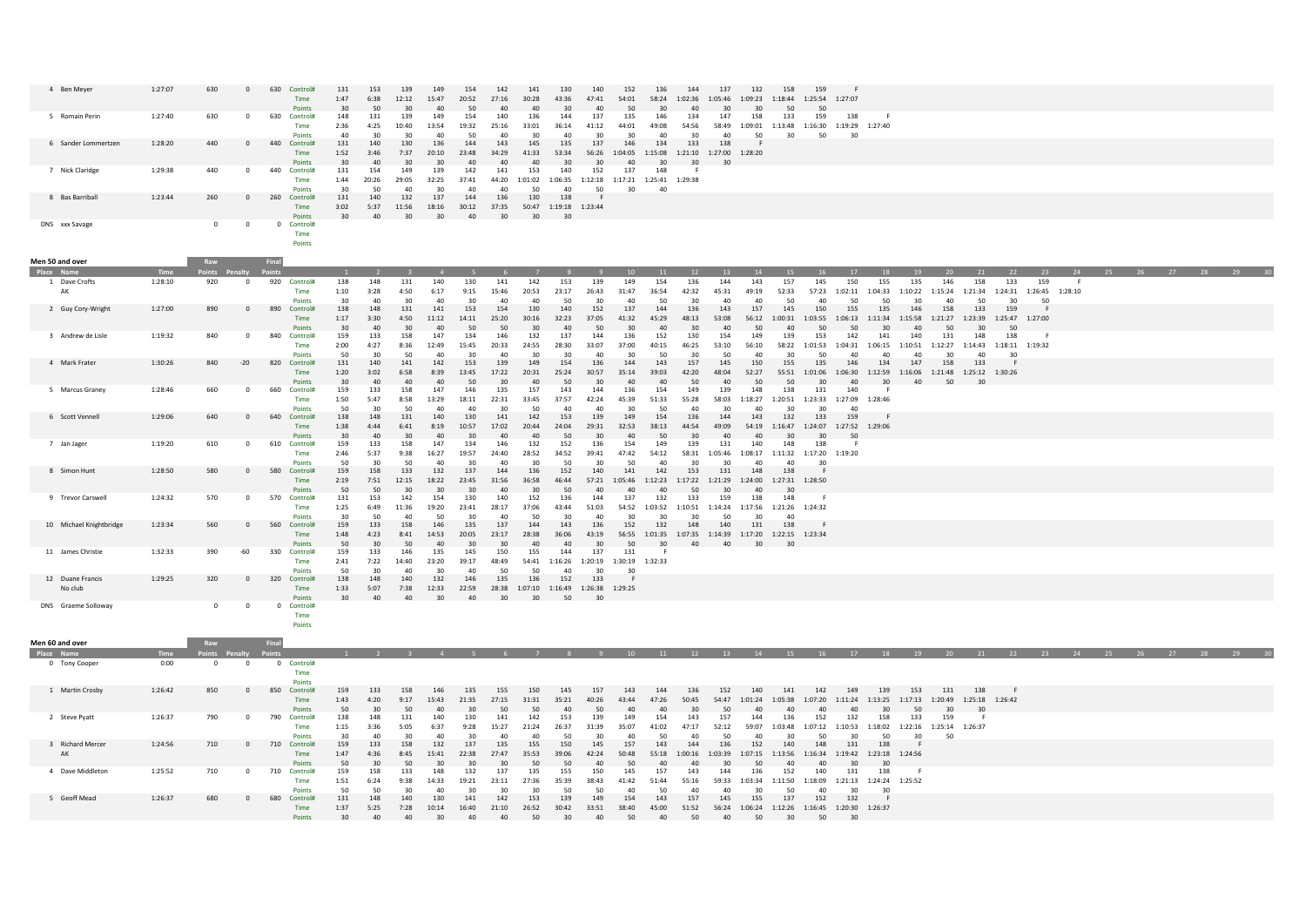| 4 Ben Meyer                 | 1:27:07 | 630        | $\Omega$                |       | 630 Control#<br>Time<br>Points    | 131<br>1:47<br>30 | 153<br>6:38<br>50  | 139<br>12:12<br>30 | 149<br>15:47<br>40   | 154<br>20:52<br>50              | 142<br>27:16<br>40 | 141<br>30:28<br>40                                       | 130<br>43:36<br>30                 | 140<br>47:41<br>40                                                | 152<br>54:01<br>50           | 136<br>30          | 144<br>58:24 1:02:36<br>40                             | 137<br>1:05:46<br>30                                               | 132<br>1:09:23<br>30 | 158<br>1:18:44<br>50                 | 159<br>1:25:54<br>50                                       | 1:27:07                       |                      |                                              |                                      |                      |                              |           |                 |        |    |          |  |
|-----------------------------|---------|------------|-------------------------|-------|-----------------------------------|-------------------|--------------------|--------------------|----------------------|---------------------------------|--------------------|----------------------------------------------------------|------------------------------------|-------------------------------------------------------------------|------------------------------|--------------------|--------------------------------------------------------|--------------------------------------------------------------------|----------------------|--------------------------------------|------------------------------------------------------------|-------------------------------|----------------------|----------------------------------------------|--------------------------------------|----------------------|------------------------------|-----------|-----------------|--------|----|----------|--|
| 5 Romain Perin              | 1:27:40 | 630        | $^{\circ}$              | 630   | Control#<br>Time<br>Points        | 148<br>2:36<br>40 | 131<br>4:25<br>30  | 139<br>10:40<br>30 | 149<br>13:54<br>40   | 154<br>19:32<br>50              | 140<br>25:16<br>40 | 136<br>33:01                                             | 144<br>36:14<br>40                 | 137<br>41:12<br>30                                                | 135<br>44:01<br>30           | 146<br>49:08<br>40 | 134<br>54:56<br>30                                     | 147<br>58:49<br>40                                                 | 158<br>50            | 133<br>30                            | 159<br>1:09:01 1:13:48 1:16:30 1:19:29 1:27:40<br>50       | 138<br>30                     |                      |                                              |                                      |                      |                              |           |                 |        |    |          |  |
| 6 Sander Lommertzen         | 1:28:20 | 440        | $\mathbf{0}$            | 440   | Control#<br><b>Time</b><br>Points | 131<br>1:52<br>30 | 140<br>3:46<br>40  | 130<br>7:37<br>30  | 136<br>20:10<br>30   | 144<br>23:48<br>40              | 143<br>34:29<br>40 | 145<br>41:33<br>40                                       | 135<br>53:34<br>30                 | 137<br>30                                                         | 146<br>40                    | 134<br>30          | 133<br>30                                              | 138<br>56:26  1:04:05  1:15:08  1:21:10  1:27:00  1:28:20<br>30    |                      |                                      |                                                            |                               |                      |                                              |                                      |                      |                              |           |                 |        |    |          |  |
| 7 Nick Claridge             | 1:29:38 | 440        | $\Omega$                | 440   | Control#<br>Time<br>Points        | 131<br>1:44<br>30 | 154<br>20:26<br>50 | 149<br>29:05<br>40 | 139<br>32:25<br>30   | 142<br>37:41<br>40              | 141<br>44:20<br>40 | 153<br>-50                                               | 140<br>40                          | 152<br>1:01:02  1:06:35  1:12:18  1:17:21  1:25:41  1:29:38<br>50 | 137<br>30                    | 148<br>40          | - 6                                                    |                                                                    |                      |                                      |                                                            |                               |                      |                                              |                                      |                      |                              |           |                 |        |    |          |  |
| 8 Bas Barriball             | 1:23:44 | 260        | $\mathbf 0$             | 260   | Control#<br>Time<br>Points        | 131<br>3:02<br>30 | 140<br>5:37<br>40  | 132<br>11:56<br>30 | 137<br>18:16<br>30   | 144<br>30:12<br>40              | 136<br>37:35<br>30 | 130<br>30                                                | 138<br>50:47 1:19:18 1:23:44<br>30 |                                                                   |                              |                    |                                                        |                                                                    |                      |                                      |                                                            |                               |                      |                                              |                                      |                      |                              |           |                 |        |    |          |  |
| DNS xxx Savage              |         | $\circ$    | $\overline{0}$          |       | 0 Control#<br>Time<br>Points      |                   |                    |                    |                      |                                 |                    |                                                          |                                    |                                                                   |                              |                    |                                                        |                                                                    |                      |                                      |                                                            |                               |                      |                                              |                                      |                      |                              |           |                 |        |    |          |  |
| Men 50 and over             |         | Raw        |                         | Final |                                   |                   |                    |                    |                      |                                 |                    |                                                          |                                    |                                                                   |                              |                    |                                                        |                                                                    |                      |                                      |                                                            |                               |                      |                                              |                                      |                      |                              |           |                 |        |    |          |  |
| Place Name                  |         |            |                         |       |                                   |                   |                    |                    | $\overline{4}$       |                                 |                    |                                                          |                                    |                                                                   | 10                           | 11                 | 12                                                     | $-13$                                                              | 14                   | <sup>15</sup>                        | <b>16</b>                                                  | 17                            | 18                   |                                              |                                      | 21                   | 22                           | 23        | - 24            | $25 -$ | 26 | 27 28 29 |  |
| 1 Dave Crofts<br>AK         | 1:28:10 | 920        | $\mathbf{0}$            |       | 920 Control#<br>Time<br>Points    | 138<br>1:10<br>30 | 148<br>3:28<br>40  | 131<br>4:50<br>30  | 140<br>6:17<br>40    | 130<br>9:15<br>30 <sub>0</sub>  | 141<br>15:46<br>40 | 142<br>20:53<br>$\Lambda$ <sup><math>\Omega</math></sup> | 153<br>23:17<br>50                 | 139<br>26:43<br>20                                                | 149<br>31:47<br>40           | 154<br>36:54<br>50 | 136<br>42:32<br>30                                     | 144<br>45:31<br>40                                                 | 143<br>49:19<br>40   | 157<br>52:33<br>50                   | 145<br>57:23<br>40                                         | 150<br>1:02:11 1:04:33<br>50  | 155<br>50            | 135<br>1:10:22<br>30                         | 146<br>1:15:24<br>40                 | 158<br>1:21:34<br>50 | 133<br>1:24:31<br>30         | 159<br>50 | 1:26:45 1:28:10 |        |    |          |  |
| 2 Guy Cory-Wright           | 1:27:00 | 890        | $\mathbf 0$             | 890   | Control#<br>Time<br>Points        | 138<br>1:17<br>30 | 148<br>3:30<br>40  | 131<br>4:50<br>30  | 141<br>11:12<br>40   | 153<br>14:11<br>50              | 154<br>25:20<br>50 | 130<br>30:16<br>30                                       | 140<br>32:23<br>40                 | 152<br>37:05<br>50                                                | 137<br>41:32<br>30           | 144<br>45:29<br>40 | 136<br>48:13<br>30                                     | 143<br>53:08<br>40                                                 | 157<br>56:12<br>50   | 145<br>1:00:31<br>40                 | 150<br>1:03:55<br>50                                       | 155<br>1:06:13  1:11:34<br>50 | 135<br>30            | 146<br>1:15:58<br>40                         | 158<br>1:21:27<br>50                 | 133<br>1:23:39<br>30 | 159<br>1:25:47 1:27:00<br>50 |           |                 |        |    |          |  |
| 3 Andrew de Lisle           | 1:19:32 | 840        | $\mathbf 0$             | 840   | Control#<br>Time<br>Points        | 159<br>2:00<br>50 | 133<br>4:27<br>30  | 158<br>8:36<br>50  | 147<br>12:49<br>40   | 134<br>15:45<br>30 <sub>0</sub> | 146<br>20:33<br>40 | 132<br>24:55<br>30                                       | 137<br>28:30<br>30                 | 144<br>33:07<br>40                                                | 136<br>37:00<br>30           | 152<br>40:15<br>50 | 130<br>46:25<br>30                                     | 154<br>53:10<br>50                                                 | 149<br>56:10<br>40   | 139<br>58:22<br>30 <sup>o</sup>      | 153<br>1:01:53<br>50                                       | 142<br>1:04:31<br>40          | 141<br>1:06:15<br>40 | 140<br>1:10:51<br>40 <sup>2</sup>            | 131<br>1:12:27<br>30                 | 148<br>1:14:43<br>40 | 138<br>1:18:11<br>30         | 1:19:32   |                 |        |    |          |  |
| 4 Mark Frater               | 1:30:26 | 840        | $-20$                   | 820   | Control#<br>Time<br><b>Points</b> | 131<br>1:20<br>30 | 140<br>3:02<br>40  | 141<br>6:58<br>40  | 142<br>8:39<br>40    | 153<br>13:45<br>-50             | 139<br>17:22<br>30 | 149<br>20:31<br>40                                       | 154<br>25:24<br>50                 | 136<br>30:57<br>30                                                | 144<br>35:14<br>40           | 143<br>39:03<br>40 | 157<br>42:20<br>50                                     | 145<br>48:04<br>40                                                 | 150<br>52:27<br>50   | 155<br>55:51<br>50                   | 135<br>1:01:06<br>30                                       | 146<br>1:06:30  1:12:59<br>40 | 134<br>30            | 147<br>1:16:06 1:21:48 1:25:12 1:30:26<br>40 | 158<br>50                            | 133<br>30            |                              |           |                 |        |    |          |  |
| 5 Marcus Graney             | 1:28:46 | 660        | $\mathbf 0$             | 660   | Control#<br>Time<br>Points        | 159<br>1:50<br>50 | 133<br>5:47<br>30  | 158<br>8:58<br>-50 | 147<br>13:29<br>40   | 146<br>18:11<br>40              | 135<br>22:31<br>30 | 157<br>33:45<br>50                                       | 143<br>37:57<br>40                 | 144<br>42:24<br>40                                                | 136<br>45:39<br>30           | 154<br>51:33<br>50 | 149<br>55:28<br>40                                     | 139<br>58:03<br>30                                                 | 148<br>1:18:27<br>40 | 138<br>1:20:51<br>30                 | 131<br>1:23:33<br>30                                       | 140<br>1:27:09 1:28:46<br>40  |                      |                                              |                                      |                      |                              |           |                 |        |    |          |  |
| 6 Scott Vennell             | 1:29:06 | 640        | $\Omega$                | 640   | Control#<br><b>Time</b><br>Points | 138<br>1:38<br>30 | 148<br>4:44<br>40  | 131<br>6:41<br>30  | 140<br>8:19<br>40    | 130<br>10:57<br>30              | 141<br>17:02<br>40 | 142<br>20:44<br>40                                       | 153<br>24:04<br>50                 | 139<br>29:31<br>30                                                | 149<br>32:53<br>40           | 154<br>38:13<br>50 | 136<br>44:54<br>$30^{\circ}$                           | 144<br>49:09<br>40                                                 | 143<br>40            | 132<br>54:19 1:16:47<br>30           | 133<br>1:24:07<br>30                                       | 159<br>1:27:52 1:29:06<br>50  |                      |                                              |                                      |                      |                              |           |                 |        |    |          |  |
| 7 Jan Jager                 | 1:19:20 | 610        | $\overline{0}$          | 610   | Control#<br><b>Time</b><br>Points | 159<br>2:46<br>50 | 133<br>5:37<br>30  | 158<br>9:38<br>50  | 147<br>16:27<br>40   | 134<br>19:57<br>30              | 146<br>24:40<br>40 | 132<br>28:52<br>30                                       | 152<br>34:52<br>50                 | 136<br>39:41<br>30                                                | 154<br>47:42<br>50           | 149<br>54:12<br>40 | 139<br>30                                              | 131<br>58:31 1:05:46<br>30                                         | 140<br>40            | 148<br>1:08:17 1:11:32 1:17:20<br>40 | 138<br>30                                                  | - 6<br>1:19:20                |                      |                                              |                                      |                      |                              |           |                 |        |    |          |  |
| 8 Simon Hunt                | 1:28:50 | 580        | $\mathbf{0}$            | 580   | Control#<br><b>Time</b><br>Points | 159<br>2:19<br>50 | 158<br>7:51<br>50  | 133<br>12:15<br>30 | 132<br>18:22<br>30   | 137<br>23:45<br>30              | 144<br>31:56<br>40 | 136<br>36:58<br>30                                       | 152<br>46:44<br>50                 | 140<br>40                                                         | 141<br>40                    | 142<br>40          | 153<br>57:21  1:05:46  1:12:23  1:17:22  1:21:29<br>50 | 131<br>30                                                          | 148<br>1:24:00<br>40 | 138<br>1:27:31 1:28:50<br>30         | - F                                                        |                               |                      |                                              |                                      |                      |                              |           |                 |        |    |          |  |
| 9 Trevor Carswel            | 1:24:32 | 570        | $\mathbf{0}$            | 570   | Control#<br>Time<br>Points        | 131<br>1:25<br>30 | 153<br>6:49<br>50  | 142<br>11:36<br>40 | 154<br>19:20<br>50   | 130<br>23:41<br>30              | 140<br>28:17<br>40 | 152<br>37:06<br>50                                       | 136<br>43:44<br>30                 | 144<br>51:03<br>40                                                | 137<br>30                    | 132<br>30          | 133<br>30                                              | 159<br>54:52 1:03:52 1:10:51 1:14:24 1:17:56 1:21:26 1:24:32<br>50 | 138<br>30            | 148<br>40                            | - F                                                        |                               |                      |                                              |                                      |                      |                              |           |                 |        |    |          |  |
| 10 Michael Knightbridge     | 1:23:34 | 560        | $\overline{0}$          | 560   | Control#<br>Time<br>Points        | 159<br>1:48<br>50 | 133<br>4:23<br>30  | 158<br>8:41<br>50  | 146<br>14:53<br>$40$ | 135<br>20:05<br>30              | 137<br>23:17<br>30 | 144<br>28:38<br>40                                       | 143<br>36:06<br>40                 | 136<br>43:19<br>30                                                | 152<br>$50 - 50$             | 132<br>30          | 148<br>40                                              | 140<br>56:55 1:01:35 1:07:35 1:14:39 1:17:20 1:22:15 1:23:34<br>40 | 131<br>30            | 138<br>30                            | - F                                                        |                               |                      |                                              |                                      |                      |                              |           |                 |        |    |          |  |
| 11 James Christie           | 1:32:33 | 390        | $-60$                   | 330   | Control#<br>Time<br><b>Points</b> | 159<br>2:41<br>50 | 133<br>7:22<br>30  | 146<br>14:40<br>40 | 135<br>23:20<br>30   | 145<br>39:17<br>40              | 150<br>48:49<br>50 | 155<br>50                                                | 144<br>40                          | 137<br>54:41 1:16:26 1:20:19<br>30                                | 131<br>1:30:19 1:32:33<br>30 |                    |                                                        |                                                                    |                      |                                      |                                                            |                               |                      |                                              |                                      |                      |                              |           |                 |        |    |          |  |
| 12 Duane Francis<br>No club | 1:29:25 | 320        | $\mathbf 0$             | 320   | Control#<br>Time<br>Points        | 138<br>1:33<br>30 | 148<br>5:07<br>40  | 140<br>7:38<br>40  | 132<br>12:33<br>30   | 146<br>22:59<br>40              | 135<br>28:38<br>30 | 136<br>30                                                | 152<br>50                          | 133<br>1:07:10 1:16:49 1:26:38 1:29:25<br>30                      |                              |                    |                                                        |                                                                    |                      |                                      |                                                            |                               |                      |                                              |                                      |                      |                              |           |                 |        |    |          |  |
| DNS Graeme Solloway         |         | $^{\circ}$ | $^{\circ}$              |       | 0 Control#<br>Time<br>Points      |                   |                    |                    |                      |                                 |                    |                                                          |                                    |                                                                   |                              |                    |                                                        |                                                                    |                      |                                      |                                                            |                               |                      |                                              |                                      |                      |                              |           |                 |        |    |          |  |
| Men 60 and over             |         | Raw        |                         | Final |                                   |                   |                    |                    |                      |                                 |                    |                                                          |                                    |                                                                   |                              |                    |                                                        |                                                                    |                      |                                      |                                                            |                               |                      |                                              |                                      |                      |                              |           |                 |        |    |          |  |
|                             |         |            |                         |       |                                   |                   |                    |                    |                      |                                 |                    |                                                          |                                    |                                                                   |                              | $-11$              | 12 <sup>7</sup>                                        | $-13$                                                              | $-14$                | $-15$                                |                                                            |                               |                      | 16 17 18 19 20                               |                                      |                      |                              |           |                 |        |    |          |  |
| 0 Tony Cooper               | 0:00    | $^{\circ}$ | $\overline{\mathbf{0}}$ |       | 0 Control#<br>Time<br>Points      |                   |                    |                    |                      |                                 |                    |                                                          |                                    |                                                                   |                              |                    |                                                        |                                                                    |                      |                                      |                                                            |                               |                      |                                              |                                      |                      |                              |           |                 |        |    |          |  |
| 1 Martin Crosby             | 1:26:42 | 850        | $\mathbf 0$             | 850   | Control#<br>Time<br>Points        | 159<br>1:43<br>50 | 133<br>4:20<br>30  | 158<br>9:17<br>50  | 146<br>15:43<br>40   | 135<br>21:35<br>30              | 155<br>27:15<br>50 | 150<br>31:31<br>50                                       | 145<br>35:21<br>40                 | 157<br>40:26<br>50                                                | 143<br>43:44<br>40           | 144<br>47:26<br>40 | 136<br>50:45<br>30 <sub>2</sub>                        | 152<br>54:47<br>50                                                 | 140<br>1:01:24<br>40 | 141<br>1:05:38<br>40 <sup>2</sup>    | 142<br>1:07:20<br>40                                       | 149<br>1:11:24<br>40          | 139<br>1:13:25<br>30 | 153<br>1:17:13<br>50                         | 131<br>1:20:49 1:25:18 1:26:42<br>30 | 138<br>30            |                              |           |                 |        |    |          |  |
| 2 Steve Pyatt               | 1:26:37 | 790        | $\mathbf 0$             | 790   | Control#<br>Time<br>Points        | 138<br>1:15<br>30 | 148<br>3:36<br>40  | 131<br>5:05<br>30  | 140<br>6:37<br>40    | 130<br>9:28<br>30               | 141<br>15:27<br>40 | 142<br>21:24<br>40                                       | 153<br>26:37<br>50                 | 139<br>31:39<br>30                                                | 149<br>35:07<br>40           | 154<br>41:02<br>50 | 143<br>47:17<br>40                                     | 157<br>52:12<br>-50                                                | 144<br>59:07<br>40   | 136<br>1:03:48<br>30                 | 152<br>1:07:12<br>50                                       | 132<br>1:10:53<br>30          | 158<br>1:18:02<br>50 | 133<br>1:22:16<br>30                         | 159<br>1:25:14 1:26:37<br>50         |                      |                              |           |                 |        |    |          |  |
| 3 Richard Mercer<br>AK      | 1:24:56 | 710        | $\mathsf 0$             | 710   | Control#<br>Time<br><b>Points</b> | 159<br>1:47<br>50 | 133<br>4:36<br>30  | 158<br>8:45<br>50  | 132<br>15:41<br>30   | 137<br>22:38<br>30              | 135<br>27:47<br>30 | 155<br>35:53<br>50                                       | 150<br>39:06<br>50                 | 145<br>42:24<br>40                                                | 157<br>50:48<br>50           | 143<br>40          | 144<br>55:18 1:00:16<br>40                             | 136<br>1:03:39<br>30                                               | 152<br>1:07:15<br>50 | 140<br>1:13:56<br>40                 | 148<br>1:16:34<br>40                                       | 131<br>1:19:42 1:23:18<br>30  | 138<br>30            | F.<br>1:24:56                                |                                      |                      |                              |           |                 |        |    |          |  |
| 4 Dave Middleton            | 1:25:52 | 710        | $\overline{0}$          | 710   | Control#<br>Time<br>Points        | 159<br>1:51<br>50 | 158<br>6:24<br>50  | 133<br>9:38<br>30  | 148<br>14:33<br>40   | 132<br>19:21<br>30              | 137<br>23:11<br>30 | 135<br>27:36<br>30                                       | 155<br>35:39<br>50                 | 150<br>38:43<br>50                                                | 145<br>41:42<br>40           | 157<br>51:44<br>50 | 143<br>55:16<br>40                                     | 144<br>59:33<br>40                                                 | 136<br>1:03:34<br>30 | 152<br>1:11:50<br>50                 | 140<br>1:18:09<br>40                                       | 131<br>1:21:13 1:24:24<br>30  | 138<br>30            | 1:25:52                                      |                                      |                      |                              |           |                 |        |    |          |  |
| 5 Geoff Mead                | 1:26:37 | 680        | $\Omega$                | 680   | Control#<br>Time                  | 131<br>1:37       | 148<br>5:25<br>40  | 140<br>7:28<br>40  | 130<br>10:14         | 141<br>16:40<br>40              | 142<br>21:10<br>40 | 153<br>26:52<br>50                                       | 139<br>30:42<br>30                 | 149<br>33:51<br>40                                                | 154<br>38:40                 | 143<br>45:00       | 157<br>51:52                                           | 145<br>40                                                          | 155                  | 137<br>30                            | 152<br>56:24 1:06:24 1:12:26 1:16:45 1:20:30 1:26:37<br>50 | 132                           |                      |                                              |                                      |                      |                              |           |                 |        |    |          |  |
|                             |         |            |                         |       | Points                            | 30                |                    |                    | 30                   |                                 |                    |                                                          |                                    |                                                                   | 50                           | 40                 | 50                                                     |                                                                    | 50                   |                                      |                                                            | 30                            |                      |                                              |                                      |                      |                              |           |                 |        |    |          |  |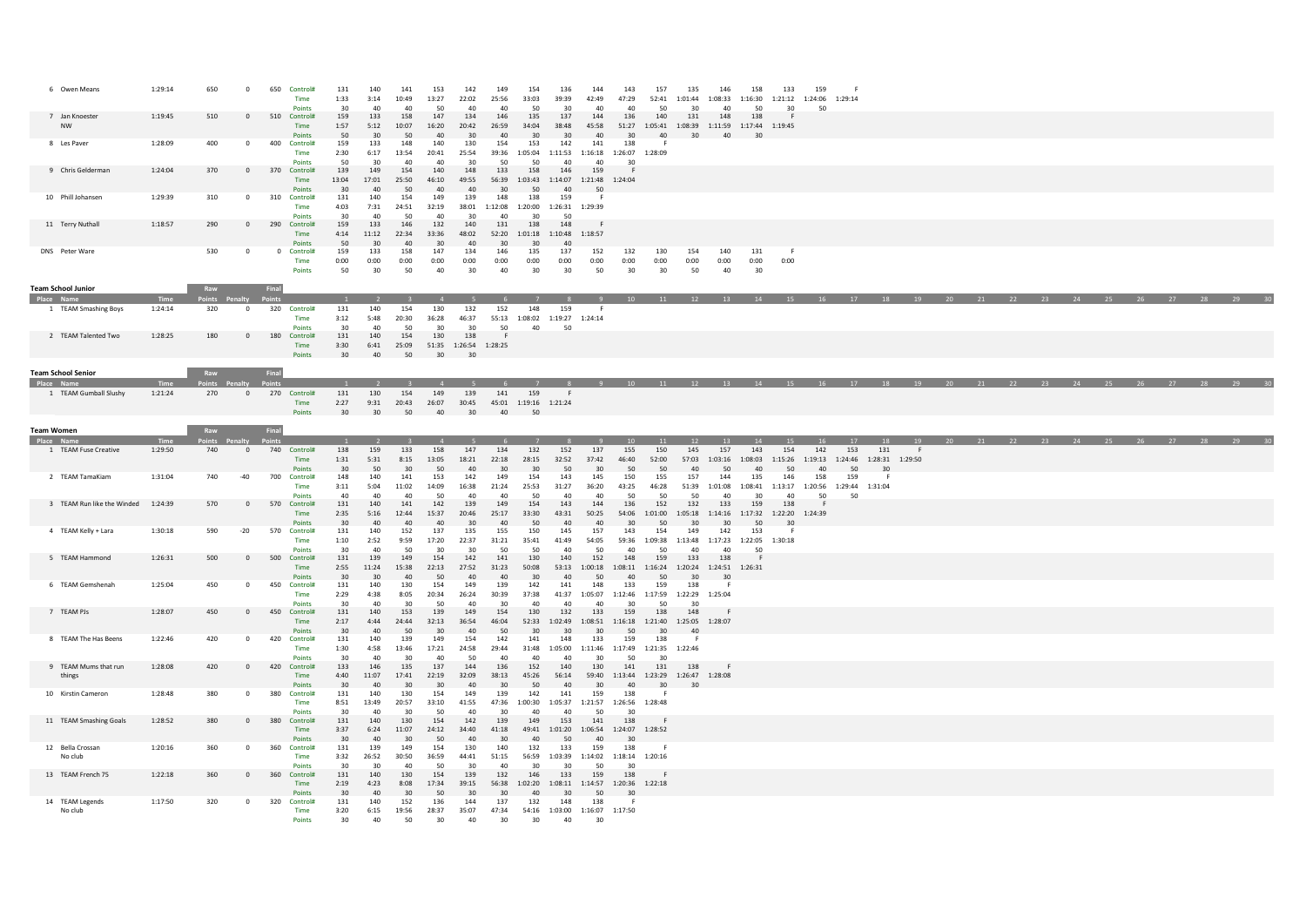| 6 Owen Means                   | 1:29:14         | 650                  | $^{\circ}$     | 650            | Control#<br>Time<br>Points     | 131<br>1:33<br>30     | 140<br>3:14<br>40  | 141<br>10:49<br>40  | 153<br>13:27<br>50  | 142<br>22:02<br>40                 | 149<br>25:56<br>40                 | 154<br>33:03<br>50   | 136<br>39:39<br>30   | 144<br>42:49<br>40                                                       | 143<br>47:29<br>40           | 157<br>50          | 135<br>52:41 1:01:44<br>30                               | 146<br>40                  | 158<br>1:08:33 1:16:30 1:21:12 1:24:06<br>50                             | 133<br>30     | 159<br>50                                                | 1:29:14       |                       |    |  |    |    |  |  |  |
|--------------------------------|-----------------|----------------------|----------------|----------------|--------------------------------|-----------------------|--------------------|---------------------|---------------------|------------------------------------|------------------------------------|----------------------|----------------------|--------------------------------------------------------------------------|------------------------------|--------------------|----------------------------------------------------------|----------------------------|--------------------------------------------------------------------------|---------------|----------------------------------------------------------|---------------|-----------------------|----|--|----|----|--|--|--|
| 7 Jan Knoester<br><b>NW</b>    | 1:19:45         | 510                  | $^{\circ}$     |                | 510 Control#<br>Time<br>Points | 159<br>1:57<br>50     | 133<br>5:12<br>30  | 158<br>10:07<br>50  | 147<br>16:20<br>40  | 134<br>20:42<br>30                 | 146<br>26:59<br>40 <sup>2</sup>    | 135<br>34:04<br>30   | 137<br>38:48<br>30   | 144<br>45:58<br>40                                                       | 136<br>30                    | 140<br>40          | 131<br>30                                                | 148<br>40                  | 138<br>51:27  1:05:41  1:08:39  1:11:59  1:17:44  1:19:45<br>30          |               |                                                          |               |                       |    |  |    |    |  |  |  |
| 8 Les Paver                    | 1:28:09         | 400                  | $\mathbf{0}$   | 400            | Control#<br>Time<br>Points     | 159<br>2:30<br>50     | 133<br>6:17<br>30  | 148<br>13:54<br>40  | 140<br>20:41<br>40  | 130<br>25:54<br>30                 | 154<br>39:36 1:05:04<br>50         | 153<br>50            | 142<br>40            | 141<br>1:11:53  1:16:18  1:26:07  1:28:09<br>40                          | 138<br>30                    |                    |                                                          |                            |                                                                          |               |                                                          |               |                       |    |  |    |    |  |  |  |
| 9 Chris Gelderman              | 1:24:04         | 370                  | $\overline{0}$ |                | 370 Control#<br>Time<br>Points | 139<br>13:04<br>30    | 149<br>17:01<br>40 | 154<br>25:50<br>50  | 140<br>46:10<br>40  | 148<br>49:55<br>40                 | 133<br>56:39<br>30                 | 158<br>1:03:43<br>50 | 146<br>40            | 159<br>1:14:07 1:21:48 1:24:04<br>50                                     | - F                          |                    |                                                          |                            |                                                                          |               |                                                          |               |                       |    |  |    |    |  |  |  |
| 10 Phill Johansen              | 1:29:39         | 310                  | $\mathbf{0}$   |                | 310 Control#<br>Time<br>Points | 131<br>4:03<br>30     | 140<br>7:31<br>40  | 154<br>24:51<br>-50 | 149<br>32:19<br>40  | 139<br>38:01<br>30                 | 148<br>1:12:08<br>40               | 138<br>1:20:00<br>30 | 159<br>50            | 1:26:31 1:29:39                                                          |                              |                    |                                                          |                            |                                                                          |               |                                                          |               |                       |    |  |    |    |  |  |  |
| 11 Terry Nuthall               | 1:18:57         | 290                  | $\mathbf{0}$   |                | 290 Control#<br>Time<br>Points | 159<br>4:14<br>50     | 133<br>11:12<br>30 | 146<br>22:34<br>40  | 132<br>33:36<br>30  | 140<br>48:02<br>40                 | 131<br>52:20<br>30                 | 138<br>1:01:18<br>30 | 148<br>40            | 1:10:48  1:18:57                                                         |                              |                    |                                                          |                            |                                                                          |               |                                                          |               |                       |    |  |    |    |  |  |  |
| DNS Peter Ware                 |                 | 530                  | $\circ$        | $\overline{0}$ | Control#<br>Time<br>Points     | 159<br>0:00<br>50     | 133<br>0:00<br>30  | 158<br>0:00<br>50   | 147<br>0:00<br>40   | 134<br>0:00<br>30                  | 146<br>0:00<br>40                  | 135<br>0:00<br>30    | 137<br>0:00<br>30    | 152<br>0:00<br>50                                                        | 132<br>0:00<br>30            | 130<br>0:00<br>30  | 154<br>0:00<br>50                                        | 140<br>0:00<br>40          | 131<br>0:00<br>30                                                        | 0:00          |                                                          |               |                       |    |  |    |    |  |  |  |
| <b>Team School Junior</b>      |                 | Raw                  |                | Final          |                                |                       |                    |                     |                     |                                    |                                    |                      |                      |                                                                          |                              |                    |                                                          |                            |                                                                          |               |                                                          |               |                       |    |  |    |    |  |  |  |
| 1 TEAM Smashing Boys           | 1:24:14         | pints Penalty<br>320 | $\circ$        | 320            | Control#<br>Time<br>Points     | 131<br>3:12<br>30     | 140<br>5:48<br>40  | 154<br>20:30<br>50  | 130<br>36:28<br>30  | 132<br>46:37<br>30                 | 152<br>55:13<br>50                 | 148<br>1:08:02<br>40 | 159<br>1:19:27<br>50 | 1:24:14                                                                  |                              |                    |                                                          |                            |                                                                          |               |                                                          |               | 17 18 19              |    |  | 22 | 23 |  |  |  |
| 2 TEAM Talented Two            | 1:28:25         | 180                  | $\mathbf{0}$   | 180            | Control#<br>Time<br>Points     | 131<br>3:30<br>$30 -$ | 140<br>6:41<br>40  | 154<br>25:09<br>50  | 130<br>30           | 138<br>51:35 1:26:54 1:28:25<br>30 |                                    |                      |                      |                                                                          |                              |                    |                                                          |                            |                                                                          |               |                                                          |               |                       |    |  |    |    |  |  |  |
| <b>Team School Senior</b>      |                 | Raw                  |                | Final          |                                |                       |                    |                     |                     |                                    |                                    |                      |                      |                                                                          |                              |                    |                                                          |                            |                                                                          |               |                                                          |               |                       |    |  |    |    |  |  |  |
|                                |                 | oints                |                |                |                                |                       |                    |                     |                     |                                    |                                    |                      |                      |                                                                          |                              |                    |                                                          |                            | 14                                                                       |               | 15 16 17 18 19 20 21 22 23                               |               |                       |    |  |    |    |  |  |  |
| 1 TEAM Gumball Slushy          | 1:21:24         | 270                  | $\overline{0}$ |                | 270 Control#<br>Time<br>Points | 131<br>2:27<br>30     | 130<br>9:31<br>30  | 154<br>20:43<br>50  | 149<br>26:07<br>40  | 139<br>30:45<br>30                 | 141<br>45:01 1:19:16 1:21:24<br>40 | 159<br>50            |                      |                                                                          |                              |                    |                                                          |                            |                                                                          |               |                                                          |               |                       |    |  |    |    |  |  |  |
| Team Women                     |                 | Raw                  |                | Final          |                                |                       |                    |                     |                     |                                    |                                    |                      |                      |                                                                          |                              |                    |                                                          |                            |                                                                          |               |                                                          |               |                       |    |  |    |    |  |  |  |
| 1 TEAM Fuse Creative           | Time<br>1:29:50 | oints<br>740         | $\circ$        |                | 740 Control#                   | 138                   | 159                | 133                 | 158                 | 147                                | 134                                | 132                  | 152                  | 137                                                                      | 155                          | 150                | 145                                                      | 157                        | 143                                                                      | 154           | 142                                                      | 153           | 131                   | F. |  |    |    |  |  |  |
|                                |                 |                      |                |                | Time<br>Points                 | 1:31<br>30            | 5:31<br>50         | 8:15<br>30          | 13:05<br>50         | 18:21<br>40                        | 22:18<br>30                        | 28:15<br>30          | 32:52<br>50          | 37:42<br>30                                                              | 46:40<br>50                  | 52:00<br>50        | 40                                                       | 57:03 1:03:16<br>50        | 1:08:03<br>40                                                            | 1:15:26<br>50 | 1:19:13<br>40                                            | 1:24:46<br>50 | 1:28:31 1:29:50<br>30 |    |  |    |    |  |  |  |
| 2 TEAM TamaKiam                | 1:31:04         | 740                  | $-40$          | 700            | Control#<br>Time<br>Points     | 148<br>3:11<br>40     | 140<br>5:04<br>40  | 141<br>11:02<br>40  | 153<br>14:09<br>50  | 142<br>16:38<br>40                 | 149<br>21:24<br>40                 | 154<br>25:53<br>50   | 143<br>31:27<br>40   | 145<br>36:20<br>40                                                       | 150<br>43:25<br>50           | 155<br>46:28<br>50 | 157<br>50                                                | 144<br>51:39 1:01:08<br>40 | 135<br>30                                                                | 146<br>40     | 158<br>1:08:41  1:13:17  1:20:56  1:29:44  1:31:04<br>50 | 159<br>50     |                       |    |  |    |    |  |  |  |
| 3 TEAM Run like the Winded     | 1:24:39         | 570                  | $\mathbf{0}$   |                | 570 Control#<br>Time<br>Points | 131<br>2:35<br>30     | 140<br>5:16<br>40  | 141<br>12:44<br>40  | 142<br>15:37<br>40  | 139<br>20:46<br>30                 | 149<br>25:17<br>40                 | 154<br>33:30<br>50   | 143<br>43:31<br>40   | 144<br>50:25<br>40                                                       | 136<br>30                    | 152<br>50          | 132<br>30                                                | 133<br>30                  | 159<br>54:06  1:01:00  1:05:18  1:14:16  1:17:32  1:22:20  1:24:39<br>50 | 138<br>30     |                                                          |               |                       |    |  |    |    |  |  |  |
| 4 TEAM Kelly + Lara            | 1:30:18         | 590                  | $-20$          | 570            | Control#<br>Time<br>Points     | 131<br>1:10<br>30     | 140<br>2:52<br>40  | 152<br>9:59<br>50   | 137<br>17:20<br>30  | 135<br>22:37<br>30                 | 155<br>31:21<br>50                 | 150<br>35:41<br>50   | 145<br>41:49<br>40   | 157<br>54:05<br>50                                                       | 143<br>40                    | 154<br>50          | 149<br>40                                                | 142<br>40                  | 153<br>59:36  1:09:38  1:13:48  1:17:23  1:22:05  1:30:18<br>50          | - 61          |                                                          |               |                       |    |  |    |    |  |  |  |
| 5 TEAM Hammond                 | 1:26:31         | 500                  | $\Omega$       | 500            | Control#<br>Time<br>Points     | 131<br>2:55<br>30     | 139<br>11:24<br>30 | 149<br>15:38<br>40  | 154<br>22:13<br>50  | 142<br>27:52<br>40                 | 141<br>31:23<br>40                 | 130<br>50:08<br>30   | 140<br>40            | 152<br>53:13  1:00:18  1:08:11  1:16:24  1:20:24  1:24:51  1:26:31<br>50 | 148<br>40                    | 159<br>50          | 133<br>30                                                | 138<br>30                  | - 6                                                                      |               |                                                          |               |                       |    |  |    |    |  |  |  |
| 6 TFAM Gemshenah               | 1:25:04         | 450                  | $^{\circ}$     |                | 450 Control#<br>Time<br>Points | 131<br>2:29<br>30     | 140<br>4:38<br>40  | 130<br>8:05<br>30   | 154<br>20:34<br>50  | 149<br>26:24<br>40                 | 139<br>30:39<br>30                 | 142<br>37:38<br>40   | 141<br>40            | 148<br>41:37 1:05:07 1:12:46 1:17:59 1:22:29 1:25:04<br>40               | 133<br>30                    | 159<br>50          | 138<br>30                                                | - 6                        |                                                                          |               |                                                          |               |                       |    |  |    |    |  |  |  |
| 7 TEAM PJs                     | 1:28:07         | 450                  | $\overline{0}$ |                | 450 Control#<br>Time<br>Points | 131<br>2:17<br>30     | 140<br>4:44<br>40  | 153<br>24:44<br>50  | 139<br>32:13<br>30  | 149<br>36:54<br>40                 | 154<br>46:04<br>50                 | 130<br>52:33<br>30   | 132<br>1:02:49<br>30 | 133<br>30                                                                | 159<br>50                    | 138<br>30          | 148<br>1:08:51  1:16:18  1:21:40  1:25:05  1:28:07<br>40 | -F                         |                                                                          |               |                                                          |               |                       |    |  |    |    |  |  |  |
| 8 TEAM The Has Beens           | 1:22:46         | 420                  | $\circ$        | 420            | Control#<br>Time<br>Points     | 131<br>1:30<br>30     | 140<br>4:58<br>40  | 139<br>13:46<br>30  | 149<br>17:21<br>40  | 154<br>24:58<br>50                 | 142<br>29:44<br>40                 | 141<br>31:48<br>40   | 148<br>40            | 133<br>1:05:00 1:11:46 1:17:49 1:21:35 1:22:46<br>30                     | 159<br>50                    | 138<br>30          |                                                          |                            |                                                                          |               |                                                          |               |                       |    |  |    |    |  |  |  |
| 9 TEAM Mums that run<br>things | 1:28:08         | 420                  | $\circ$        | 420            | Control#<br>Time<br>Points     | 133<br>4:40<br>30     | 146<br>11:07<br>40 | 135<br>17:41<br>30  | 137<br>22:19<br>30  | 144<br>32:09<br>40                 | 136<br>38:13<br>30                 | 152<br>45:26<br>50   | 140<br>56:14<br>40   | 130<br>30 <sup>2</sup>                                                   | 141<br>40                    | 131<br>30          | 138<br>59:40  1:13:44  1:23:29  1:26:47  1:28:08<br>30   |                            |                                                                          |               |                                                          |               |                       |    |  |    |    |  |  |  |
| 10 Kirstin Cameron             | 1:28:48         | 380                  | $\circ$        | 380            | Control#<br>Time<br>Points     | 131<br>8:51<br>30     | 140<br>13:49<br>40 | 130<br>20:57<br>30  | 154<br>33:10<br>-50 | 149<br>41:55<br>40                 | 139<br>47:36<br>30                 | 142<br>1:00:30<br>40 | 141<br>40            | 159<br>1:05:37 1:21:57<br>50                                             | 138<br>1:26:56 1:28:48<br>30 |                    |                                                          |                            |                                                                          |               |                                                          |               |                       |    |  |    |    |  |  |  |
| 11 TEAM Smashing Goals         | 1:28:52         | 380                  | $\circ$        | 380            | Control#<br>Time<br>Points     | 131<br>3:37<br>30     | 140<br>6:24<br>-40 | 130<br>11:07<br>30  | 154<br>24:12<br>50  | 142<br>34:40<br>40                 | 139<br>41:18<br>30                 | 149<br>49:41<br>40   | 153<br>1:01:20<br>50 | 141<br>1:06:54<br>40                                                     | 138<br>1:24:07 1:28:52<br>30 |                    |                                                          |                            |                                                                          |               |                                                          |               |                       |    |  |    |    |  |  |  |
| 12 Bella Crossan<br>No club    | 1:20:16         | 360                  | $\mathbf 0$    | 360            | Control#<br>Time<br>Points     | 131<br>3:32<br>30     | 139<br>26:52<br>30 | 149<br>30:50<br>40  | 154<br>36:59<br>50  | 130<br>44:41<br>30                 | 140<br>51:15<br>40                 | 132<br>56:59<br>30   | 133<br>30            | 159<br>$1:03:39 \qquad 1:14:02 \qquad 1:18:14 \qquad 1:20:16$<br>50      | 138<br>-30                   | -F                 |                                                          |                            |                                                                          |               |                                                          |               |                       |    |  |    |    |  |  |  |
| 13 TEAM French 75              | 1:22:18         | 360                  | $^{\circ}$     | 360            | Control#<br>Time<br>Points     | 131<br>2:19<br>30     | 140<br>4:23<br>40  | 130<br>8:08<br>30   | 154<br>17:34<br>50  | 139<br>39:15<br>30                 | 132<br>30                          | 146<br>40            | 133<br>30            | 159<br>56:38 1:02:20 1:08:11 1:14:57 1:20:36 1:22:18<br>50               | 138<br>30                    |                    |                                                          |                            |                                                                          |               |                                                          |               |                       |    |  |    |    |  |  |  |
| 14 TEAM Legends<br>No club     | 1:17:50         | 320                  | $^{\circ}$     | 320            | Control#<br>Time               | 131<br>3:20           | 140<br>6:15        | 152<br>19:56        | 136<br>28:37        | 144<br>35:07                       | 137<br>47:34                       | 132<br>54:16         | 148                  | 138<br>1:03:00 1:16:07 1:17:50                                           | - 6                          |                    |                                                          |                            |                                                                          |               |                                                          |               |                       |    |  |    |    |  |  |  |